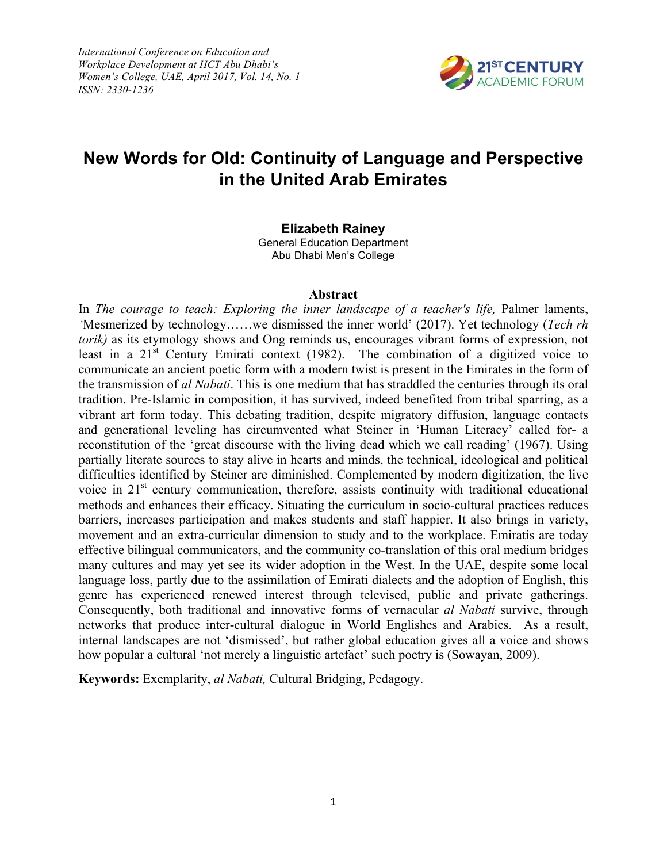*International Conference on Education and Workplace Development at HCT Abu Dhabi's Women's College, UAE, April 2017, Vol. 14, No. 1 ISSN: 2330-1236*



# **New Words for Old: Continuity of Language and Perspective in the United Arab Emirates**

**Elizabeth Rainey**

General Education Department Abu Dhabi Men's College

#### **Abstract**

In *The courage to teach: Exploring the inner landscape of a teacher's life*, Palmer laments, *'*Mesmerized by technology……we dismissed the inner world' (2017). Yet technology (*Tech rh torik)* as its etymology shows and Ong reminds us, encourages vibrant forms of expression, not least in a 21<sup>st</sup> Century Emirati context (1982). The combination of a digitized voice to communicate an ancient poetic form with a modern twist is present in the Emirates in the form of the transmission of *al Nabati*. This is one medium that has straddled the centuries through its oral tradition. Pre-Islamic in composition, it has survived, indeed benefited from tribal sparring, as a vibrant art form today. This debating tradition, despite migratory diffusion, language contacts and generational leveling has circumvented what Steiner in 'Human Literacy' called for- a reconstitution of the 'great discourse with the living dead which we call reading' (1967). Using partially literate sources to stay alive in hearts and minds, the technical, ideological and political difficulties identified by Steiner are diminished. Complemented by modern digitization, the live voice in 21<sup>st</sup> century communication, therefore, assists continuity with traditional educational methods and enhances their efficacy. Situating the curriculum in socio-cultural practices reduces barriers, increases participation and makes students and staff happier. It also brings in variety, movement and an extra-curricular dimension to study and to the workplace. Emiratis are today effective bilingual communicators, and the community co-translation of this oral medium bridges many cultures and may yet see its wider adoption in the West. In the UAE, despite some local language loss, partly due to the assimilation of Emirati dialects and the adoption of English, this genre has experienced renewed interest through televised, public and private gatherings. Consequently, both traditional and innovative forms of vernacular *al Nabati* survive, through networks that produce inter-cultural dialogue in World Englishes and Arabics. As a result, internal landscapes are not 'dismissed', but rather global education gives all a voice and shows how popular a cultural 'not merely a linguistic artefact' such poetry is (Sowayan, 2009).

**Keywords:** Exemplarity, *al Nabati,* Cultural Bridging, Pedagogy.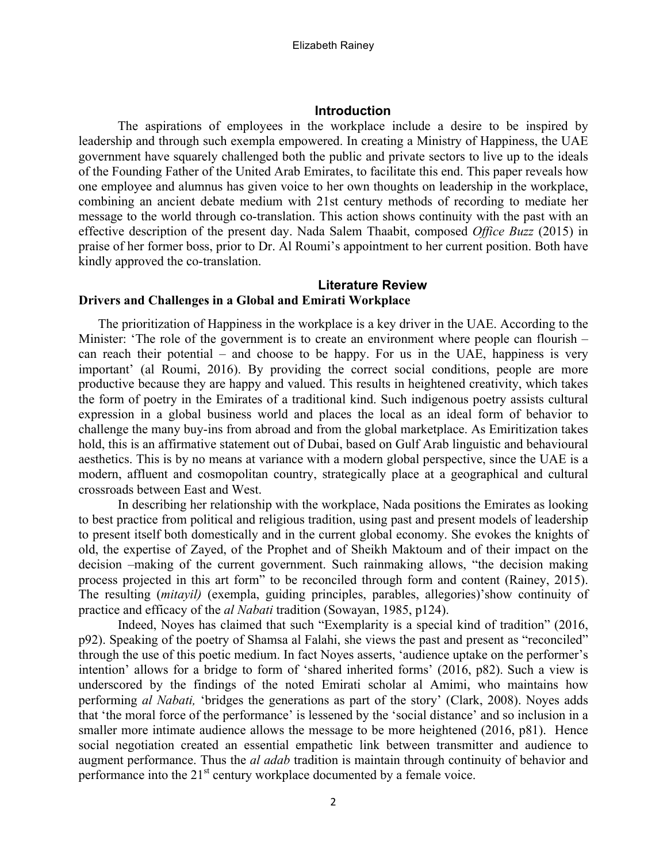## **Introduction**

The aspirations of employees in the workplace include a desire to be inspired by leadership and through such exempla empowered. In creating a Ministry of Happiness, the UAE government have squarely challenged both the public and private sectors to live up to the ideals of the Founding Father of the United Arab Emirates, to facilitate this end. This paper reveals how one employee and alumnus has given voice to her own thoughts on leadership in the workplace, combining an ancient debate medium with 21st century methods of recording to mediate her message to the world through co-translation. This action shows continuity with the past with an effective description of the present day. Nada Salem Thaabit, composed *Office Buzz* (2015) in praise of her former boss, prior to Dr. Al Roumi's appointment to her current position. Both have kindly approved the co-translation.

# **Literature Review Drivers and Challenges in a Global and Emirati Workplace**

The prioritization of Happiness in the workplace is a key driver in the UAE. According to the Minister: 'The role of the government is to create an environment where people can flourish – can reach their potential – and choose to be happy. For us in the UAE, happiness is very important' (al Roumi, 2016). By providing the correct social conditions, people are more productive because they are happy and valued. This results in heightened creativity, which takes the form of poetry in the Emirates of a traditional kind. Such indigenous poetry assists cultural expression in a global business world and places the local as an ideal form of behavior to challenge the many buy-ins from abroad and from the global marketplace. As Emiritization takes hold, this is an affirmative statement out of Dubai, based on Gulf Arab linguistic and behavioural aesthetics. This is by no means at variance with a modern global perspective, since the UAE is a modern, affluent and cosmopolitan country, strategically place at a geographical and cultural crossroads between East and West.

In describing her relationship with the workplace, Nada positions the Emirates as looking to best practice from political and religious tradition, using past and present models of leadership to present itself both domestically and in the current global economy. She evokes the knights of old, the expertise of Zayed, of the Prophet and of Sheikh Maktoum and of their impact on the decision –making of the current government. Such rainmaking allows, "the decision making process projected in this art form" to be reconciled through form and content (Rainey, 2015). The resulting (*mitayil)* (exempla, guiding principles, parables, allegories)'show continuity of practice and efficacy of the *al Nabati* tradition (Sowayan, 1985, p124).

Indeed, Noyes has claimed that such "Exemplarity is a special kind of tradition" (2016, p92). Speaking of the poetry of Shamsa al Falahi, she views the past and present as "reconciled" through the use of this poetic medium. In fact Noyes asserts, 'audience uptake on the performer's intention' allows for a bridge to form of 'shared inherited forms' (2016, p82). Such a view is underscored by the findings of the noted Emirati scholar al Amimi, who maintains how performing *al Nabati,* 'bridges the generations as part of the story' (Clark, 2008). Noyes adds that 'the moral force of the performance' is lessened by the 'social distance' and so inclusion in a smaller more intimate audience allows the message to be more heightened (2016, p81). Hence social negotiation created an essential empathetic link between transmitter and audience to augment performance. Thus the *al adab* tradition is maintain through continuity of behavior and performance into the 21<sup>st</sup> century workplace documented by a female voice.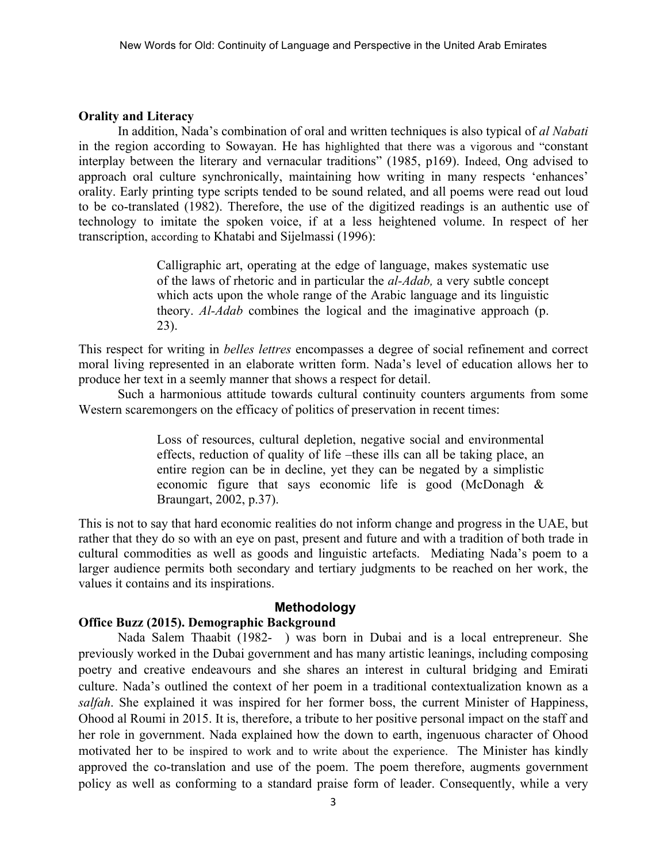#### **Orality and Literacy**

In addition, Nada's combination of oral and written techniques is also typical of *al Nabati* in the region according to Sowayan. He has highlighted that there was a vigorous and "constant interplay between the literary and vernacular traditions" (1985, p169). Indeed, Ong advised to approach oral culture synchronically, maintaining how writing in many respects 'enhances' orality. Early printing type scripts tended to be sound related, and all poems were read out loud to be co-translated (1982). Therefore, the use of the digitized readings is an authentic use of technology to imitate the spoken voice, if at a less heightened volume. In respect of her transcription, according to Khatabi and Sijelmassi (1996):

> Calligraphic art, operating at the edge of language, makes systematic use of the laws of rhetoric and in particular the *al-Adab,* a very subtle concept which acts upon the whole range of the Arabic language and its linguistic theory. *Al-Adab* combines the logical and the imaginative approach (p. 23).

This respect for writing in *belles lettres* encompasses a degree of social refinement and correct moral living represented in an elaborate written form. Nada's level of education allows her to produce her text in a seemly manner that shows a respect for detail.

Such a harmonious attitude towards cultural continuity counters arguments from some Western scaremongers on the efficacy of politics of preservation in recent times:

> Loss of resources, cultural depletion, negative social and environmental effects, reduction of quality of life –these ills can all be taking place, an entire region can be in decline, yet they can be negated by a simplistic economic figure that says economic life is good (McDonagh & Braungart, 2002, p.37).

This is not to say that hard economic realities do not inform change and progress in the UAE, but rather that they do so with an eye on past, present and future and with a tradition of both trade in cultural commodities as well as goods and linguistic artefacts. Mediating Nada's poem to a larger audience permits both secondary and tertiary judgments to be reached on her work, the values it contains and its inspirations.

## **Methodology**

# **Office Buzz (2015). Demographic Background**

Nada Salem Thaabit (1982- ) was born in Dubai and is a local entrepreneur. She previously worked in the Dubai government and has many artistic leanings, including composing poetry and creative endeavours and she shares an interest in cultural bridging and Emirati culture. Nada's outlined the context of her poem in a traditional contextualization known as a *salfah*. She explained it was inspired for her former boss, the current Minister of Happiness, Ohood al Roumi in 2015. It is, therefore, a tribute to her positive personal impact on the staff and her role in government. Nada explained how the down to earth, ingenuous character of Ohood motivated her to be inspired to work and to write about the experience. The Minister has kindly approved the co-translation and use of the poem. The poem therefore, augments government policy as well as conforming to a standard praise form of leader. Consequently, while a very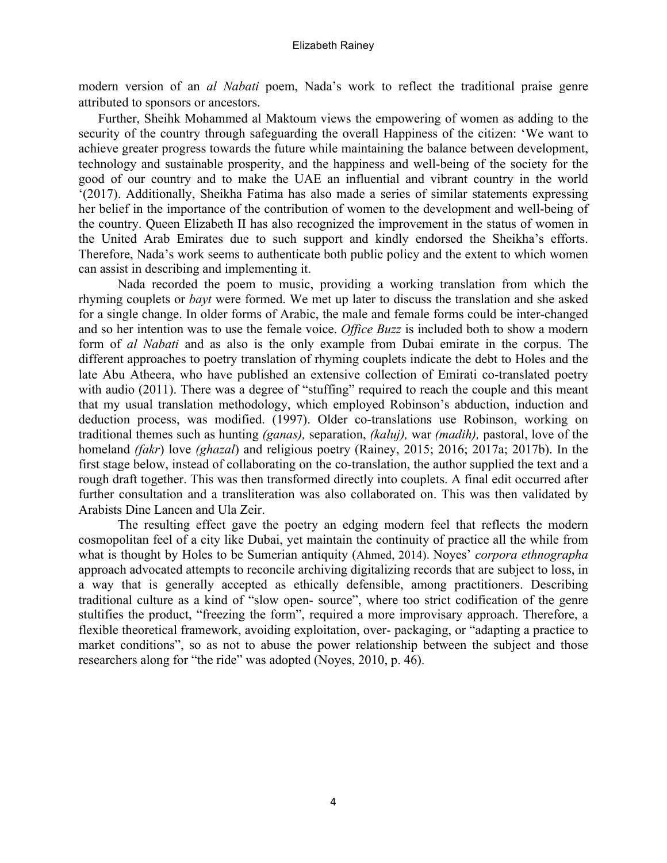modern version of an *al Nabati* poem, Nada's work to reflect the traditional praise genre attributed to sponsors or ancestors.

Further, Sheihk Mohammed al Maktoum views the empowering of women as adding to the security of the country through safeguarding the overall Happiness of the citizen: 'We want to achieve greater progress towards the future while maintaining the balance between development, technology and sustainable prosperity, and the happiness and well-being of the society for the good of our country and to make the UAE an influential and vibrant country in the world '(2017). Additionally, Sheikha Fatima has also made a series of similar statements expressing her belief in the importance of the contribution of women to the development and well-being of the country. Queen Elizabeth II has also recognized the improvement in the status of women in the United Arab Emirates due to such support and kindly endorsed the Sheikha's efforts. Therefore, Nada's work seems to authenticate both public policy and the extent to which women can assist in describing and implementing it.

Nada recorded the poem to music, providing a working translation from which the rhyming couplets or *bayt* were formed. We met up later to discuss the translation and she asked for a single change. In older forms of Arabic, the male and female forms could be inter-changed and so her intention was to use the female voice. *Office Buzz* is included both to show a modern form of *al Nabati* and as also is the only example from Dubai emirate in the corpus. The different approaches to poetry translation of rhyming couplets indicate the debt to Holes and the late Abu Atheera, who have published an extensive collection of Emirati co-translated poetry with audio (2011). There was a degree of "stuffing" required to reach the couple and this meant that my usual translation methodology, which employed Robinson's abduction, induction and deduction process, was modified. (1997). Older co-translations use Robinson, working on traditional themes such as hunting *(ganas),* separation, *(kaluj),* war *(madih),* pastoral, love of the homeland *(fakr*) love *(ghazal*) and religious poetry (Rainey, 2015; 2016; 2017a; 2017b). In the first stage below, instead of collaborating on the co-translation, the author supplied the text and a rough draft together. This was then transformed directly into couplets. A final edit occurred after further consultation and a transliteration was also collaborated on. This was then validated by Arabists Dine Lancen and Ula Zeir.

The resulting effect gave the poetry an edging modern feel that reflects the modern cosmopolitan feel of a city like Dubai, yet maintain the continuity of practice all the while from what is thought by Holes to be Sumerian antiquity (Ahmed, 2014). Noyes' *corpora ethnographa*  approach advocated attempts to reconcile archiving digitalizing records that are subject to loss, in a way that is generally accepted as ethically defensible, among practitioners. Describing traditional culture as a kind of "slow open- source", where too strict codification of the genre stultifies the product, "freezing the form", required a more improvisary approach. Therefore, a flexible theoretical framework, avoiding exploitation, over- packaging, or "adapting a practice to market conditions", so as not to abuse the power relationship between the subject and those researchers along for "the ride" was adopted (Noyes, 2010, p. 46).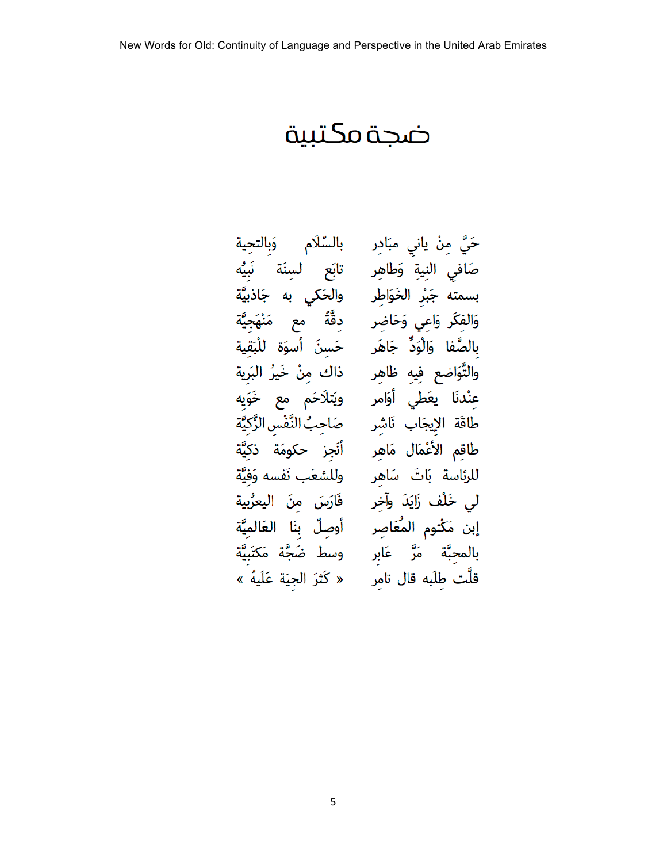# ضجة مكتبية

5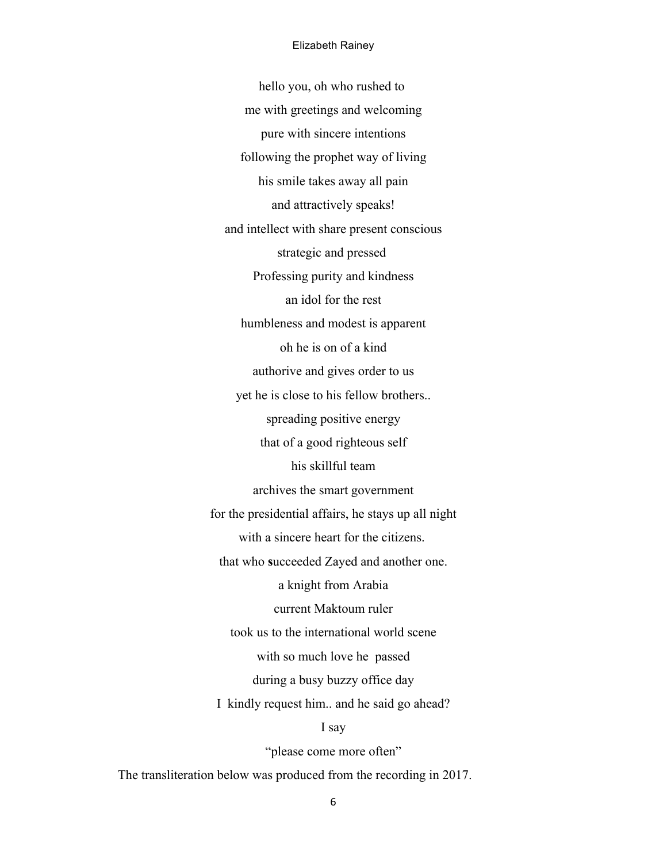#### Elizabeth Rainey

hello you, oh who rushed to me with greetings and welcoming pure with sincere intentions following the prophet way of living his smile takes away all pain and attractively speaks! and intellect with share present conscious strategic and pressed Professing purity and kindness an idol for the rest humbleness and modest is apparent oh he is on of a kind authorive and gives order to us yet he is close to his fellow brothers.. spreading positive energy that of a good righteous self his skillful team archives the smart government for the presidential affairs, he stays up all night with a sincere heart for the citizens. that who **s**ucceeded Zayed and another one. a knight from Arabia current Maktoum ruler took us to the international world scene with so much love he passed during a busy buzzy office day I kindly request him.. and he said go ahead? I say "please come more often"

The transliteration below was produced from the recording in 2017.

6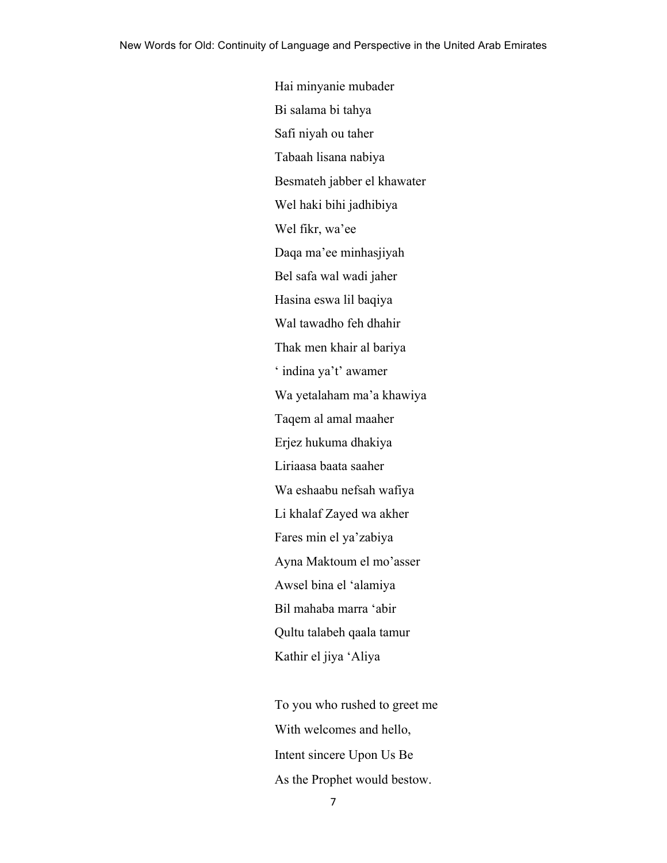Hai minyanie mubader Bi salama bi tahya Safi niyah ou taher Tabaah lisana nabiya Besmateh jabber el khawater Wel haki bihi jadhibiya Wel fikr, wa'ee Daqa ma'ee minhasjiyah Bel safa wal wadi jaher Hasina eswa lil baqiya Wal tawadho feh dhahir Thak men khair al bariya ' indina ya't' awamer Wa yetalaham ma'a khawiya Taqem al amal maaher Erjez hukuma dhakiya Liriaasa baata saaher Wa eshaabu nefsah wafiya Li khalaf Zayed wa akher Fares min el ya'zabiya Ayna Maktoum el mo'asser Awsel bina el 'alamiya Bil mahaba marra 'abir Qultu talabeh qaala tamur Kathir el jiya 'Aliya

To you who rushed to greet me With welcomes and hello, Intent sincere Upon Us Be As the Prophet would bestow.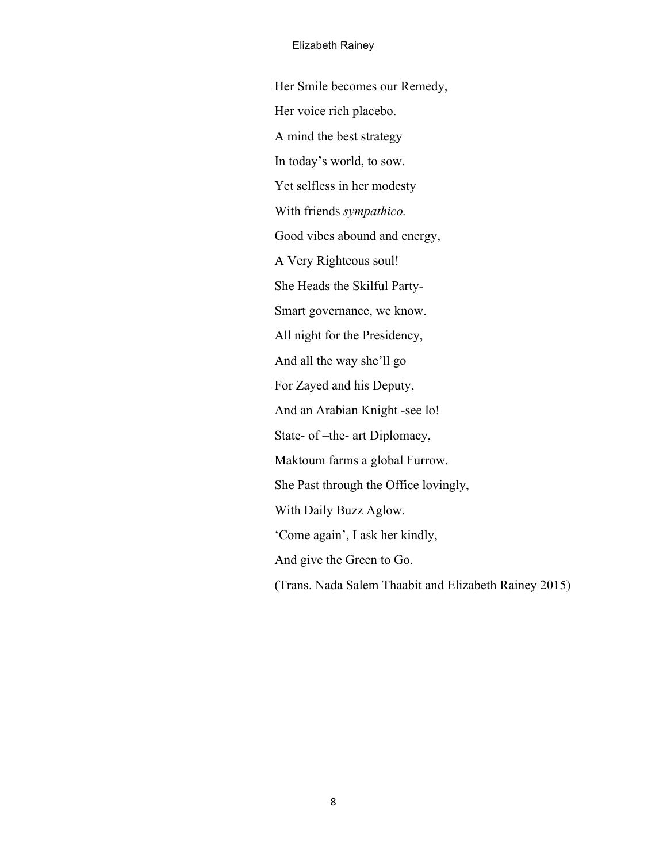#### Elizabeth Rainey

Her Smile becomes our Remedy, Her voice rich placebo. A mind the best strategy In today's world, to sow. Yet selfless in her modesty With friends *sympathico.* Good vibes abound and energy, A Very Righteous soul! She Heads the Skilful Party-Smart governance, we know. All night for the Presidency, And all the way she'll go For Zayed and his Deputy, And an Arabian Knight -see lo! State- of –the- art Diplomacy, Maktoum farms a global Furrow. She Past through the Office lovingly, With Daily Buzz Aglow. 'Come again', I ask her kindly, And give the Green to Go. (Trans. Nada Salem Thaabit and Elizabeth Rainey 2015)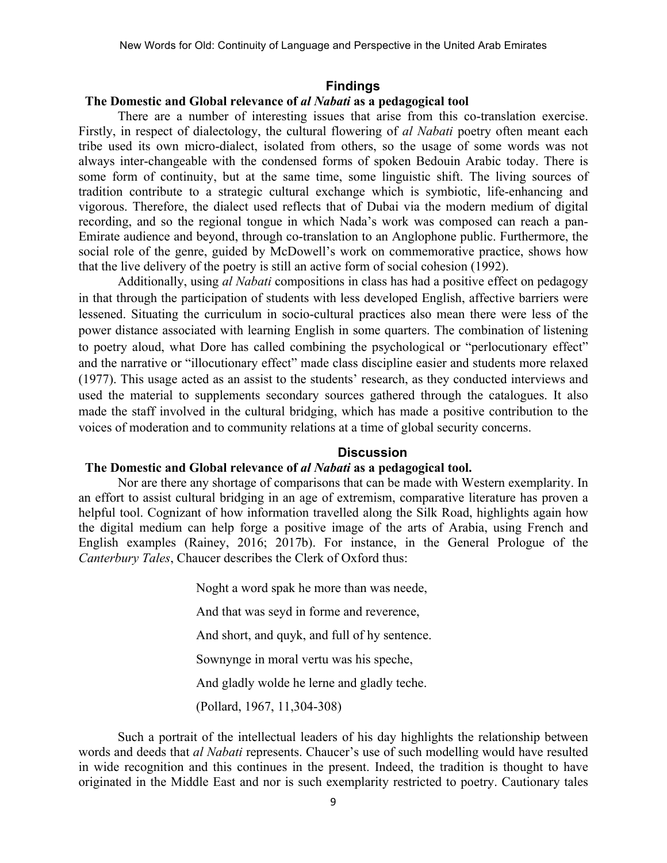#### **Findings**

#### **The Domestic and Global relevance of** *al Nabati* **as a pedagogical tool**

There are a number of interesting issues that arise from this co-translation exercise. Firstly, in respect of dialectology, the cultural flowering of *al Nabati* poetry often meant each tribe used its own micro-dialect, isolated from others, so the usage of some words was not always inter-changeable with the condensed forms of spoken Bedouin Arabic today. There is some form of continuity, but at the same time, some linguistic shift. The living sources of tradition contribute to a strategic cultural exchange which is symbiotic, life-enhancing and vigorous. Therefore, the dialect used reflects that of Dubai via the modern medium of digital recording, and so the regional tongue in which Nada's work was composed can reach a pan-Emirate audience and beyond, through co-translation to an Anglophone public. Furthermore, the social role of the genre, guided by McDowell's work on commemorative practice, shows how that the live delivery of the poetry is still an active form of social cohesion (1992).

Additionally, using *al Nabati* compositions in class has had a positive effect on pedagogy in that through the participation of students with less developed English, affective barriers were lessened. Situating the curriculum in socio-cultural practices also mean there were less of the power distance associated with learning English in some quarters. The combination of listening to poetry aloud, what Dore has called combining the psychological or "perlocutionary effect" and the narrative or "illocutionary effect" made class discipline easier and students more relaxed (1977). This usage acted as an assist to the students' research, as they conducted interviews and used the material to supplements secondary sources gathered through the catalogues. It also made the staff involved in the cultural bridging, which has made a positive contribution to the voices of moderation and to community relations at a time of global security concerns.

#### **Discussion**

# **The Domestic and Global relevance of** *al Nabati* **as a pedagogical tool.**

Nor are there any shortage of comparisons that can be made with Western exemplarity. In an effort to assist cultural bridging in an age of extremism, comparative literature has proven a helpful tool. Cognizant of how information travelled along the Silk Road, highlights again how the digital medium can help forge a positive image of the arts of Arabia, using French and English examples (Rainey, 2016; 2017b). For instance, in the General Prologue of the *Canterbury Tales*, Chaucer describes the Clerk of Oxford thus:

Noght a word spak he more than was neede,

And that was seyd in forme and reverence,

And short, and quyk, and full of hy sentence.

Sownynge in moral vertu was his speche,

And gladly wolde he lerne and gladly teche.

(Pollard, 1967, 11,304-308)

Such a portrait of the intellectual leaders of his day highlights the relationship between words and deeds that *al Nabati* represents. Chaucer's use of such modelling would have resulted in wide recognition and this continues in the present. Indeed, the tradition is thought to have originated in the Middle East and nor is such exemplarity restricted to poetry. Cautionary tales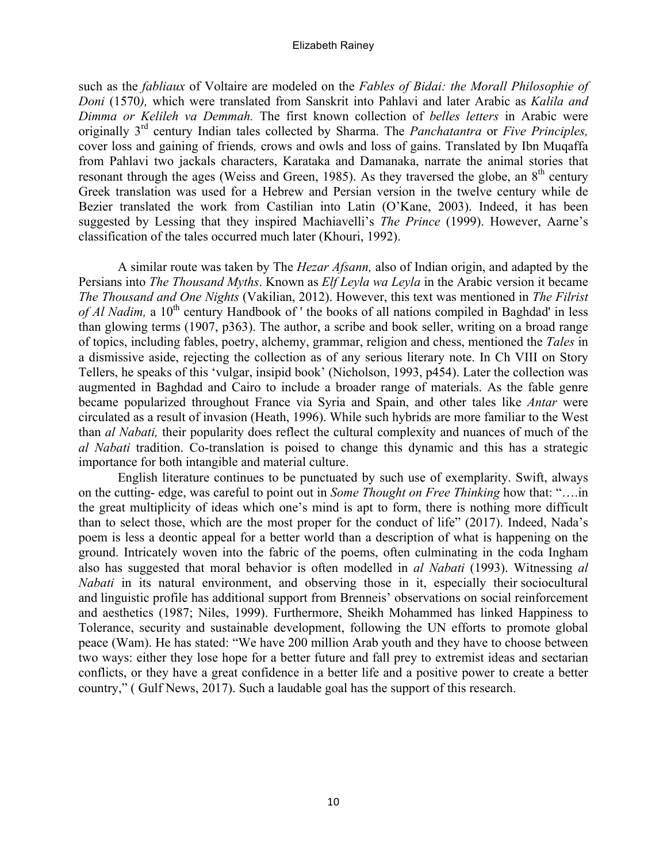#### Elizabeth Rainey

such as the *fabliaux* of Voltaire are modeled on the *Fables of Bidai: the Morall Philosophie of Doni* (1570*),* which were translated from Sanskrit into Pahlavi and later Arabic as *Kalila and Dimma or Kelileh va Demmah.* The first known collection of *belles letters* in Arabic were originally 3rd century Indian tales collected by Sharma. The *Panchatantra* or *Five Principles,* cover loss and gaining of friends*,* crows and owls and loss of gains. Translated by Ibn Muqaffa from Pahlavi two jackals characters, Karataka and Damanaka, narrate the animal stories that resonant through the ages (Weiss and Green, 1985). As they traversed the globe, an  $8<sup>th</sup>$  century Greek translation was used for a Hebrew and Persian version in the twelve century while de Bezier translated the work from Castilian into Latin (O'Kane, 2003). Indeed, it has been suggested by Lessing that they inspired Machiavelli's *The Prince* (1999). However, Aarne's classification of the tales occurred much later (Khouri, 1992).

A similar route was taken by The *Hezar Afsann,* also of Indian origin, and adapted by the Persians into *The Thousand Myths*. Known as *Elf Leyla wa Leyla* in the Arabic version it became *The Thousand and One Nights* (Vakilian, 2012). However, this text was mentioned in *The Filrist of Al Nadim*, a 10<sup>th</sup> century Handbook of ' the books of all nations compiled in Baghdad' in less than glowing terms (1907, p363). The author, a scribe and book seller, writing on a broad range of topics, including fables, poetry, alchemy, grammar, religion and chess, mentioned the *Tales* in a dismissive aside, rejecting the collection as of any serious literary note. In Ch VIII on Story Tellers, he speaks of this 'vulgar, insipid book' (Nicholson, 1993, p454). Later the collection was augmented in Baghdad and Cairo to include a broader range of materials. As the fable genre became popularized throughout France via Syria and Spain, and other tales like *Antar* were circulated as a result of invasion (Heath, 1996). While such hybrids are more familiar to the West than *al Nabati,* their popularity does reflect the cultural complexity and nuances of much of the *al Nabati* tradition. Co-translation is poised to change this dynamic and this has a strategic importance for both intangible and material culture.

English literature continues to be punctuated by such use of exemplarity. Swift, always on the cutting- edge, was careful to point out in *Some Thought on Free Thinking* how that: "….in the great multiplicity of ideas which one's mind is apt to form, there is nothing more difficult than to select those, which are the most proper for the conduct of life" (2017). Indeed, Nada's poem is less a deontic appeal for a better world than a description of what is happening on the ground. Intricately woven into the fabric of the poems, often culminating in the coda Ingham also has suggested that moral behavior is often modelled in *al Nabati* (1993). Witnessing *al Nabati* in its natural environment, and observing those in it, especially their sociocultural and linguistic profile has additional support from Brenneis' observations on social reinforcement and aesthetics (1987; Niles, 1999). Furthermore, Sheikh Mohammed has linked Happiness to Tolerance, security and sustainable development, following the UN efforts to promote global peace (Wam). He has stated: "We have 200 million Arab youth and they have to choose between two ways: either they lose hope for a better future and fall prey to extremist ideas and sectarian conflicts, or they have a great confidence in a better life and a positive power to create a better country," ( Gulf News, 2017). Such a laudable goal has the support of this research.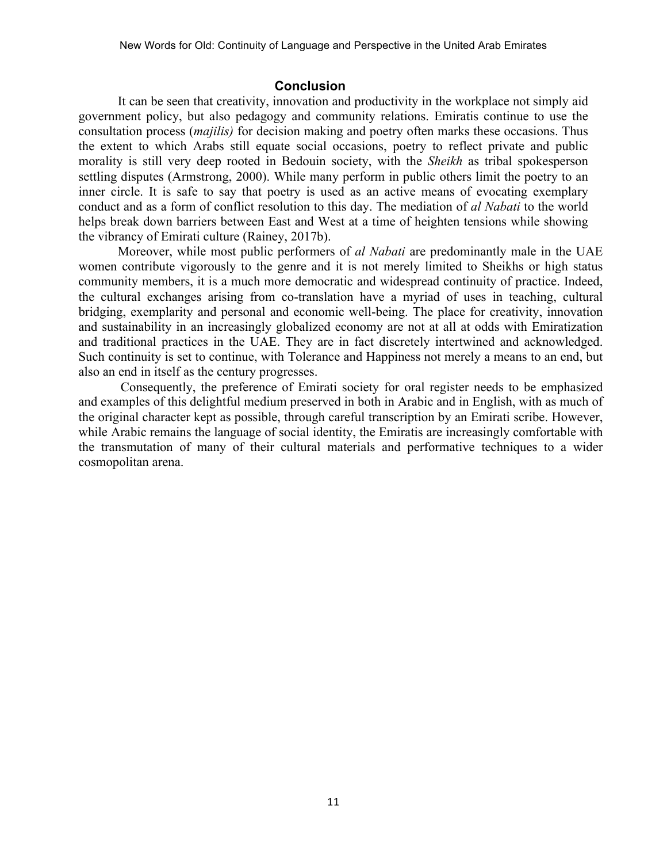# **Conclusion**

It can be seen that creativity, innovation and productivity in the workplace not simply aid government policy, but also pedagogy and community relations. Emiratis continue to use the consultation process (*majilis)* for decision making and poetry often marks these occasions. Thus the extent to which Arabs still equate social occasions, poetry to reflect private and public morality is still very deep rooted in Bedouin society, with the *Sheikh* as tribal spokesperson settling disputes (Armstrong, 2000). While many perform in public others limit the poetry to an inner circle. It is safe to say that poetry is used as an active means of evocating exemplary conduct and as a form of conflict resolution to this day. The mediation of *al Nabati* to the world helps break down barriers between East and West at a time of heighten tensions while showing the vibrancy of Emirati culture (Rainey, 2017b).

Moreover, while most public performers of *al Nabati* are predominantly male in the UAE women contribute vigorously to the genre and it is not merely limited to Sheikhs or high status community members, it is a much more democratic and widespread continuity of practice. Indeed, the cultural exchanges arising from co-translation have a myriad of uses in teaching, cultural bridging, exemplarity and personal and economic well-being. The place for creativity, innovation and sustainability in an increasingly globalized economy are not at all at odds with Emiratization and traditional practices in the UAE. They are in fact discretely intertwined and acknowledged. Such continuity is set to continue, with Tolerance and Happiness not merely a means to an end, but also an end in itself as the century progresses.

Consequently, the preference of Emirati society for oral register needs to be emphasized and examples of this delightful medium preserved in both in Arabic and in English, with as much of the original character kept as possible, through careful transcription by an Emirati scribe. However, while Arabic remains the language of social identity, the Emiratis are increasingly comfortable with the transmutation of many of their cultural materials and performative techniques to a wider cosmopolitan arena.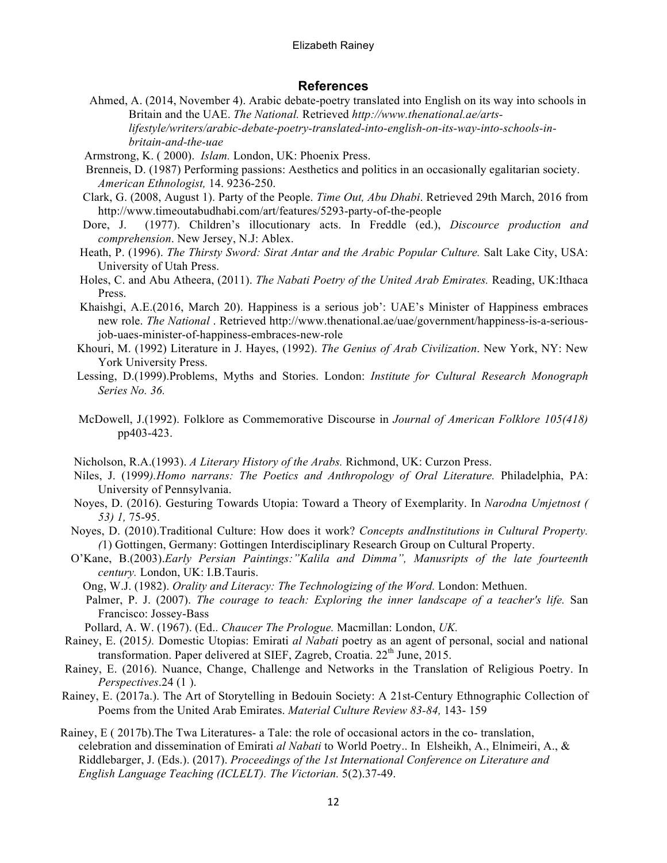#### **References**

- Ahmed, A. (2014, November 4). Arabic debate-poetry translated into English on its way into schools in Britain and the UAE. *The National.* Retrieved *http://www.thenational.ae/artslifestyle/writers/arabic-debate-poetry-translated-into-english-on-its-way-into-schools-inbritain-and-the-uae*
- Armstrong, K. ( 2000). *Islam.* London, UK: Phoenix Press.
- Brenneis, D. (1987) Performing passions: Aesthetics and politics in an occasionally egalitarian society. *American Ethnologist,* 14. 9236-250.
- Clark, G. (2008, August 1). Party of the People. *Time Out, Abu Dhabi*. Retrieved 29th March, 2016 from http://www.timeoutabudhabi.com/art/features/5293-party-of-the-people
- Dore, J. (1977). Children's illocutionary acts. In Freddle (ed.), *Discource production and comprehension*. New Jersey, N.J: Ablex.
- Heath, P. (1996). *The Thirsty Sword: Sirat Antar and the Arabic Popular Culture.* Salt Lake City, USA: University of Utah Press.
- Holes, C. and Abu Atheera, (2011). *The Nabati Poetry of the United Arab Emirates.* Reading, UK:Ithaca Press.
- Khaishgi, A.E.(2016, March 20). Happiness is a serious job': UAE's Minister of Happiness embraces new role. *The National* . Retrieved http://www.thenational.ae/uae/government/happiness-is-a-seriousjob-uaes-minister-of-happiness-embraces-new-role
- Khouri, M. (1992) Literature in J. Hayes, (1992). *The Genius of Arab Civilization*. New York, NY: New York University Press.
- Lessing, D.(1999).Problems, Myths and Stories. London: *Institute for Cultural Research Monograph Series No. 36.*
- McDowell, J.(1992). Folklore as Commemorative Discourse in *Journal of American Folklore 105(418)*  pp403-423.
- Nicholson, R.A.(1993). *A Literary History of the Arabs.* Richmond, UK: Curzon Press.
- Niles, J. (1999*).Homo narrans: The Poetics and Anthropology of Oral Literature.* Philadelphia, PA: University of Pennsylvania.
- Noyes, D. (2016). Gesturing Towards Utopia: Toward a Theory of Exemplarity. In *Narodna Umjetnost ( 53) 1,* 75-95.
- Noyes, D. (2010).Traditional Culture: How does it work? *Concepts andInstitutions in Cultural Property. (*1) Gottingen, Germany: Gottingen Interdisciplinary Research Group on Cultural Property.
- O'Kane, B.(2003).*Early Persian Paintings:"Kalila and Dimma", Manusripts of the late fourteenth century.* London, UK: I.B.Tauris.
	- Ong, W.J. (1982). *Orality and Literacy: The Technologizing of the Word.* London: Methuen.
	- Palmer, P. J. (2007). *The courage to teach: Exploring the inner landscape of a teacher's life.* San Francisco: Jossey-Bass

Pollard, A. W. (1967). (Ed.. *Chaucer The Prologue.* Macmillan: London, *UK.* 

- Rainey, E. (2015*).* Domestic Utopias: Emirati *al Nabati* poetry as an agent of personal, social and national transformation. Paper delivered at SIEF, Zagreb, Croatia.  $22<sup>th</sup>$  June, 2015.
- Rainey, E. (2016). Nuance, Change, Challenge and Networks in the Translation of Religious Poetry. In *Perspectives*.24 (1 ).
- Rainey, E. (2017a.). The Art of Storytelling in Bedouin Society: A 21st-Century Ethnographic Collection of Poems from the United Arab Emirates. *Material Culture Review 83-84,* 143- 159
- Rainey, E ( 2017b).The Twa Literatures- a Tale: the role of occasional actors in the co- translation, celebration and dissemination of Emirati *al Nabati* to World Poetry.. In Elsheikh, A., Elnimeiri, A., & Riddlebarger, J. (Eds.). (2017). *Proceedings of the 1st International Conference on Literature and English Language Teaching (ICLELT). The Victorian.* 5(2).37-49.